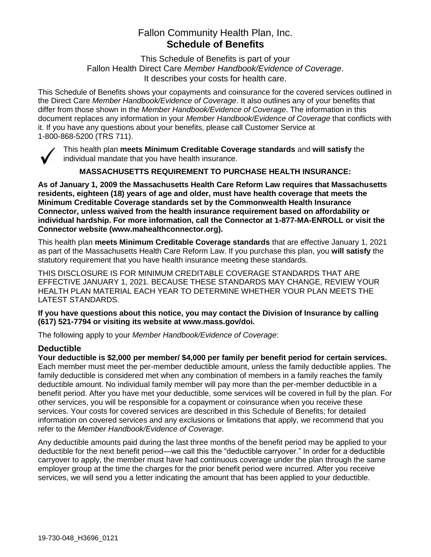# Fallon Community Health Plan, Inc. **Schedule of Benefits**

This Schedule of Benefits is part of your Fallon Health Direct Care *Member Handbook/Evidence of Coverage*. It describes your costs for health care.

This Schedule of Benefits shows your copayments and coinsurance for the covered services outlined in the Direct Care *Member Handbook/Evidence of Coverage*. It also outlines any of your benefits that differ from those shown in the *Member Handbook/Evidence of Coverage*. The information in this document replaces any information in your *Member Handbook/Evidence of Coverage* that conflicts with it. If you have any questions about your benefits, please call Customer Service at 1-800-868-5200 (TRS 711).



This health plan **meets Minimum Creditable Coverage standards** and **will satisfy** the individual mandate that you have health insurance.

**MASSACHUSETTS REQUIREMENT TO PURCHASE HEALTH INSURANCE:**

**As of January 1, 2009 the Massachusetts Health Care Reform Law requires that Massachusetts residents, eighteen (18) years of age and older, must have health coverage that meets the Minimum Creditable Coverage standards set by the Commonwealth Health Insurance Connector, unless waived from the health insurance requirement based on affordability or individual hardship. For more information, call the Connector at 1-877-MA-ENROLL or visit the Connector website (www.mahealthconnector.org).**

This health plan **meets Minimum Creditable Coverage standards** that are effective January 1, 2021 as part of the Massachusetts Health Care Reform Law. If you purchase this plan, you **will satisfy** the statutory requirement that you have health insurance meeting these standards.

THIS DISCLOSURE IS FOR MINIMUM CREDITABLE COVERAGE STANDARDS THAT ARE EFFECTIVE JANUARY 1, 2021. BECAUSE THESE STANDARDS MAY CHANGE, REVIEW YOUR HEALTH PLAN MATERIAL EACH YEAR TO DETERMINE WHETHER YOUR PLAN MEETS THE LATEST STANDARDS.

**If you have questions about this notice, you may contact the Division of Insurance by calling (617) 521-7794 or visiting its website at www.mass.gov/doi.** 

The following apply to your *Member Handbook/Evidence of Coverage*:

## **Deductible**

**Your deductible is \$2,000 per member/ \$4,000 per family per benefit period for certain services.** Each member must meet the per-member deductible amount, unless the family deductible applies. The family deductible is considered met when any combination of members in a family reaches the family deductible amount. No individual family member will pay more than the per-member deductible in a benefit period. After you have met your deductible, some services will be covered in full by the plan. For other services, you will be responsible for a copayment or coinsurance when you receive these services. Your costs for covered services are described in this Schedule of Benefits; for detailed information on covered services and any exclusions or limitations that apply, we recommend that you refer to the *Member Handbook/Evidence of Coverage*.

Any deductible amounts paid during the last three months of the benefit period may be applied to your deductible for the next benefit period—we call this the "deductible carryover." In order for a deductible carryover to apply, the member must have had continuous coverage under the plan through the same employer group at the time the charges for the prior benefit period were incurred. After you receive services, we will send you a letter indicating the amount that has been applied to your deductible.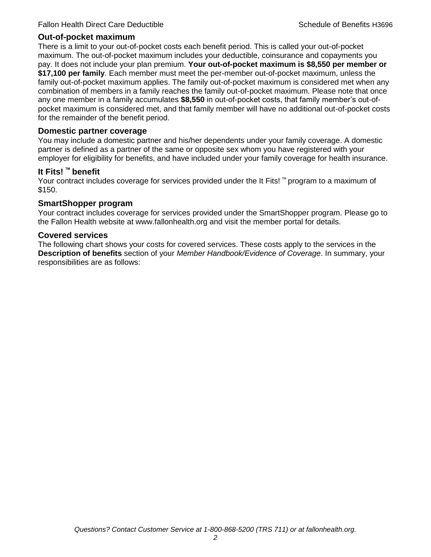#### **Out-of-pocket maximum**

There is a limit to your out-of-pocket costs each benefit period. This is called your out-of-pocket maximum. The out-of-pocket maximum includes your deductible, coinsurance and copayments you pay. It does not include your plan premium. **Your out-of-pocket maximum is \$8,550 per member or \$17,100 per family**. Each member must meet the per-member out-of-pocket maximum, unless the family out-of-pocket maximum applies. The family out-of-pocket maximum is considered met when any combination of members in a family reaches the family out-of-pocket maximum. Please note that once any one member in a family accumulates **\$8,550** in out-of-pocket costs, that family member's out-ofpocket maximum is considered met, and that family member will have no additional out-of-pocket costs for the remainder of the benefit period.

#### **Domestic partner coverage**

You may include a domestic partner and his/her dependents under your family coverage. A domestic partner is defined as a partner of the same or opposite sex whom you have registered with your employer for eligibility for benefits, and have included under your family coverage for health insurance.

#### **It Fits! ™ benefit**

Your contract includes coverage for services provided under the It Fits! ™ program to a maximum of \$150.

#### **SmartShopper program**

Your contract includes coverage for services provided under the SmartShopper program. Please go to the Fallon Health website at www.fallonhealth.org and visit the member portal for details.

#### **Covered services**

The following chart shows your costs for covered services. These costs apply to the services in the **Description of benefits** section of your *Member Handbook/Evidence of Coverage*. In summary, your responsibilities are as follows: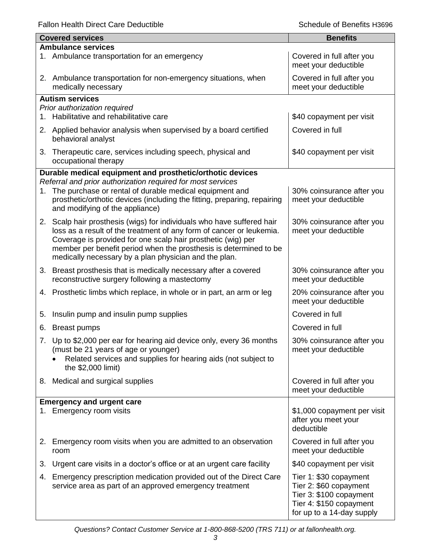Fallon Health Direct Care Deductible **Schedule of Benefits H3696** Schedule of Benefits H3696

ı

|    | <b>Covered services</b>                                                                                                                                                                                                                                                                                                                      | <b>Benefits</b>                                                                                                                     |  |
|----|----------------------------------------------------------------------------------------------------------------------------------------------------------------------------------------------------------------------------------------------------------------------------------------------------------------------------------------------|-------------------------------------------------------------------------------------------------------------------------------------|--|
|    | <b>Ambulance services</b>                                                                                                                                                                                                                                                                                                                    |                                                                                                                                     |  |
|    | 1. Ambulance transportation for an emergency                                                                                                                                                                                                                                                                                                 | Covered in full after you<br>meet your deductible                                                                                   |  |
|    | 2. Ambulance transportation for non-emergency situations, when<br>medically necessary                                                                                                                                                                                                                                                        | Covered in full after you<br>meet your deductible                                                                                   |  |
|    | <b>Autism services</b>                                                                                                                                                                                                                                                                                                                       |                                                                                                                                     |  |
|    | Prior authorization required                                                                                                                                                                                                                                                                                                                 |                                                                                                                                     |  |
|    | 1. Habilitative and rehabilitative care                                                                                                                                                                                                                                                                                                      | \$40 copayment per visit                                                                                                            |  |
|    | 2. Applied behavior analysis when supervised by a board certified<br>behavioral analyst                                                                                                                                                                                                                                                      | Covered in full                                                                                                                     |  |
| 3. | Therapeutic care, services including speech, physical and<br>occupational therapy                                                                                                                                                                                                                                                            | \$40 copayment per visit                                                                                                            |  |
|    | Durable medical equipment and prosthetic/orthotic devices                                                                                                                                                                                                                                                                                    |                                                                                                                                     |  |
|    | Referral and prior authorization required for most services                                                                                                                                                                                                                                                                                  |                                                                                                                                     |  |
|    | 1. The purchase or rental of durable medical equipment and<br>prosthetic/orthotic devices (including the fitting, preparing, repairing<br>and modifying of the appliance)                                                                                                                                                                    | 30% coinsurance after you<br>meet your deductible                                                                                   |  |
|    | 2. Scalp hair prosthesis (wigs) for individuals who have suffered hair<br>loss as a result of the treatment of any form of cancer or leukemia.<br>Coverage is provided for one scalp hair prosthetic (wig) per<br>member per benefit period when the prosthesis is determined to be<br>medically necessary by a plan physician and the plan. | 30% coinsurance after you<br>meet your deductible                                                                                   |  |
| 3. | Breast prosthesis that is medically necessary after a covered<br>reconstructive surgery following a mastectomy                                                                                                                                                                                                                               | 30% coinsurance after you<br>meet your deductible                                                                                   |  |
|    | 4. Prosthetic limbs which replace, in whole or in part, an arm or leg                                                                                                                                                                                                                                                                        | 20% coinsurance after you<br>meet your deductible                                                                                   |  |
| 5. | Insulin pump and insulin pump supplies                                                                                                                                                                                                                                                                                                       | Covered in full                                                                                                                     |  |
| 6. | <b>Breast pumps</b>                                                                                                                                                                                                                                                                                                                          | Covered in full                                                                                                                     |  |
|    | 7. Up to \$2,000 per ear for hearing aid device only, every 36 months<br>(must be 21 years of age or younger)<br>Related services and supplies for hearing aids (not subject to<br>the \$2,000 limit)                                                                                                                                        | 30% coinsurance after you<br>meet your deductible                                                                                   |  |
|    | 8. Medical and surgical supplies                                                                                                                                                                                                                                                                                                             | Covered in full after you<br>meet your deductible                                                                                   |  |
|    | <b>Emergency and urgent care</b>                                                                                                                                                                                                                                                                                                             |                                                                                                                                     |  |
|    | 1. Emergency room visits                                                                                                                                                                                                                                                                                                                     | \$1,000 copayment per visit<br>after you meet your<br>deductible                                                                    |  |
|    | 2. Emergency room visits when you are admitted to an observation<br>room                                                                                                                                                                                                                                                                     | Covered in full after you<br>meet your deductible                                                                                   |  |
| 3. | Urgent care visits in a doctor's office or at an urgent care facility                                                                                                                                                                                                                                                                        | \$40 copayment per visit                                                                                                            |  |
| 4. | Emergency prescription medication provided out of the Direct Care<br>service area as part of an approved emergency treatment                                                                                                                                                                                                                 | Tier 1: \$30 copayment<br>Tier 2: \$60 copayment<br>Tier 3: \$100 copayment<br>Tier 4: \$150 copayment<br>for up to a 14-day supply |  |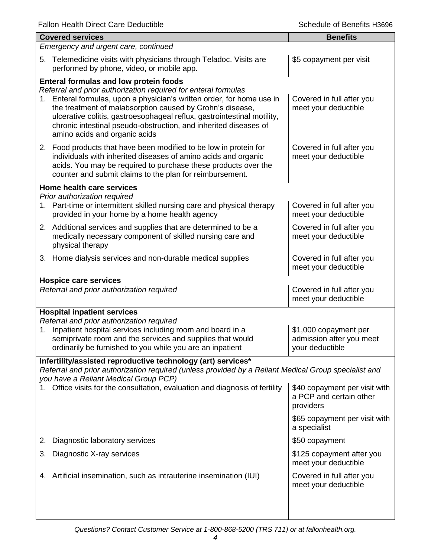| <b>Covered services</b>                                                                                                                                                                                                                                                                                                                                                                                                                | <b>Benefits</b>                                                       |  |  |
|----------------------------------------------------------------------------------------------------------------------------------------------------------------------------------------------------------------------------------------------------------------------------------------------------------------------------------------------------------------------------------------------------------------------------------------|-----------------------------------------------------------------------|--|--|
| Emergency and urgent care, continued                                                                                                                                                                                                                                                                                                                                                                                                   |                                                                       |  |  |
| 5. Telemedicine visits with physicians through Teladoc. Visits are<br>performed by phone, video, or mobile app.                                                                                                                                                                                                                                                                                                                        | \$5 copayment per visit                                               |  |  |
| <b>Enteral formulas and low protein foods</b><br>Referral and prior authorization required for enteral formulas<br>1. Enteral formulas, upon a physician's written order, for home use in<br>the treatment of malabsorption caused by Crohn's disease,<br>ulcerative colitis, gastroesophageal reflux, gastrointestinal motility,<br>chronic intestinal pseudo-obstruction, and inherited diseases of<br>amino acids and organic acids | Covered in full after you<br>meet your deductible                     |  |  |
| 2. Food products that have been modified to be low in protein for<br>individuals with inherited diseases of amino acids and organic<br>acids. You may be required to purchase these products over the<br>counter and submit claims to the plan for reimbursement.                                                                                                                                                                      | Covered in full after you<br>meet your deductible                     |  |  |
| Home health care services                                                                                                                                                                                                                                                                                                                                                                                                              |                                                                       |  |  |
| Prior authorization required<br>Part-time or intermittent skilled nursing care and physical therapy<br>1.<br>provided in your home by a home health agency                                                                                                                                                                                                                                                                             | Covered in full after you<br>meet your deductible                     |  |  |
| 2. Additional services and supplies that are determined to be a<br>medically necessary component of skilled nursing care and<br>physical therapy                                                                                                                                                                                                                                                                                       | Covered in full after you<br>meet your deductible                     |  |  |
| 3. Home dialysis services and non-durable medical supplies                                                                                                                                                                                                                                                                                                                                                                             | Covered in full after you<br>meet your deductible                     |  |  |
| <b>Hospice care services</b><br>Referral and prior authorization required                                                                                                                                                                                                                                                                                                                                                              | Covered in full after you<br>meet your deductible                     |  |  |
| <b>Hospital inpatient services</b>                                                                                                                                                                                                                                                                                                                                                                                                     |                                                                       |  |  |
| Referral and prior authorization required<br>Inpatient hospital services including room and board in a<br>1.<br>semiprivate room and the services and supplies that would<br>ordinarily be furnished to you while you are an inpatient                                                                                                                                                                                                 | \$1,000 copayment per<br>admission after you meet<br>your deductible  |  |  |
| Infertility/assisted reproductive technology (art) services*<br>Referral and prior authorization required (unless provided by a Reliant Medical Group specialist and<br>you have a Reliant Medical Group PCP)                                                                                                                                                                                                                          |                                                                       |  |  |
| Office visits for the consultation, evaluation and diagnosis of fertility                                                                                                                                                                                                                                                                                                                                                              | \$40 copayment per visit with<br>a PCP and certain other<br>providers |  |  |
|                                                                                                                                                                                                                                                                                                                                                                                                                                        | \$65 copayment per visit with<br>a specialist                         |  |  |
| Diagnostic laboratory services<br>2.                                                                                                                                                                                                                                                                                                                                                                                                   | \$50 copayment                                                        |  |  |
| Diagnostic X-ray services<br>3.                                                                                                                                                                                                                                                                                                                                                                                                        | \$125 copayment after you<br>meet your deductible                     |  |  |
| 4. Artificial insemination, such as intrauterine insemination (IUI)                                                                                                                                                                                                                                                                                                                                                                    | Covered in full after you<br>meet your deductible                     |  |  |
|                                                                                                                                                                                                                                                                                                                                                                                                                                        |                                                                       |  |  |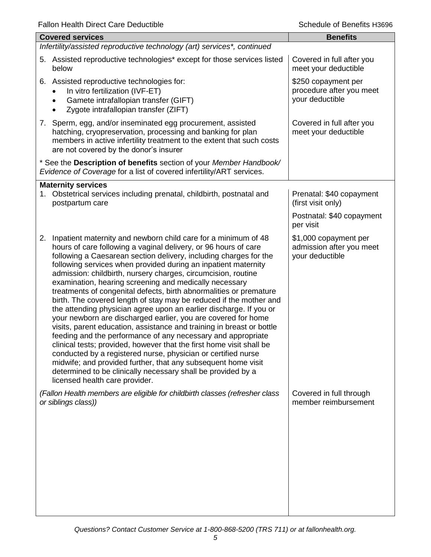| i alion i icaith Dircct Oarc Dcuuctible                                                                                                                                                                                                                                                                                                                                                                                                                                                                                                                                                                                                                                                                                                                                                                                                                                                                                                                                                                                                                                                                                                           | ספטפרו בהחסרוטות וט סווטטכ                                           |
|---------------------------------------------------------------------------------------------------------------------------------------------------------------------------------------------------------------------------------------------------------------------------------------------------------------------------------------------------------------------------------------------------------------------------------------------------------------------------------------------------------------------------------------------------------------------------------------------------------------------------------------------------------------------------------------------------------------------------------------------------------------------------------------------------------------------------------------------------------------------------------------------------------------------------------------------------------------------------------------------------------------------------------------------------------------------------------------------------------------------------------------------------|----------------------------------------------------------------------|
| <b>Covered services</b>                                                                                                                                                                                                                                                                                                                                                                                                                                                                                                                                                                                                                                                                                                                                                                                                                                                                                                                                                                                                                                                                                                                           | <b>Benefits</b>                                                      |
| Infertility/assisted reproductive technology (art) services*, continued                                                                                                                                                                                                                                                                                                                                                                                                                                                                                                                                                                                                                                                                                                                                                                                                                                                                                                                                                                                                                                                                           |                                                                      |
| 5. Assisted reproductive technologies* except for those services listed<br>below                                                                                                                                                                                                                                                                                                                                                                                                                                                                                                                                                                                                                                                                                                                                                                                                                                                                                                                                                                                                                                                                  | Covered in full after you<br>meet your deductible                    |
| 6. Assisted reproductive technologies for:<br>In vitro fertilization (IVF-ET)<br>Gamete intrafallopian transfer (GIFT)<br>$\bullet$<br>Zygote intrafallopian transfer (ZIFT)                                                                                                                                                                                                                                                                                                                                                                                                                                                                                                                                                                                                                                                                                                                                                                                                                                                                                                                                                                      | \$250 copayment per<br>procedure after you meet<br>your deductible   |
| 7. Sperm, egg, and/or inseminated egg procurement, assisted<br>hatching, cryopreservation, processing and banking for plan<br>members in active infertility treatment to the extent that such costs<br>are not covered by the donor's insurer                                                                                                                                                                                                                                                                                                                                                                                                                                                                                                                                                                                                                                                                                                                                                                                                                                                                                                     | Covered in full after you<br>meet your deductible                    |
| * See the Description of benefits section of your Member Handbook/<br>Evidence of Coverage for a list of covered infertility/ART services.                                                                                                                                                                                                                                                                                                                                                                                                                                                                                                                                                                                                                                                                                                                                                                                                                                                                                                                                                                                                        |                                                                      |
| <b>Maternity services</b><br>1. Obstetrical services including prenatal, childbirth, postnatal and<br>postpartum care                                                                                                                                                                                                                                                                                                                                                                                                                                                                                                                                                                                                                                                                                                                                                                                                                                                                                                                                                                                                                             | Prenatal: \$40 copayment<br>(first visit only)                       |
|                                                                                                                                                                                                                                                                                                                                                                                                                                                                                                                                                                                                                                                                                                                                                                                                                                                                                                                                                                                                                                                                                                                                                   | Postnatal: \$40 copayment<br>per visit                               |
| Inpatient maternity and newborn child care for a minimum of 48<br>2.<br>hours of care following a vaginal delivery, or 96 hours of care<br>following a Caesarean section delivery, including charges for the<br>following services when provided during an inpatient maternity<br>admission: childbirth, nursery charges, circumcision, routine<br>examination, hearing screening and medically necessary<br>treatments of congenital defects, birth abnormalities or premature<br>birth. The covered length of stay may be reduced if the mother and<br>the attending physician agree upon an earlier discharge. If you or<br>your newborn are discharged earlier, you are covered for home<br>visits, parent education, assistance and training in breast or bottle<br>feeding and the performance of any necessary and appropriate<br>clinical tests; provided, however that the first home visit shall be<br>conducted by a registered nurse, physician or certified nurse<br>midwife; and provided further, that any subsequent home visit<br>determined to be clinically necessary shall be provided by a<br>licensed health care provider. | \$1,000 copayment per<br>admission after you meet<br>your deductible |
| (Fallon Health members are eligible for childbirth classes (refresher class<br>or siblings class))                                                                                                                                                                                                                                                                                                                                                                                                                                                                                                                                                                                                                                                                                                                                                                                                                                                                                                                                                                                                                                                | Covered in full through<br>member reimbursement                      |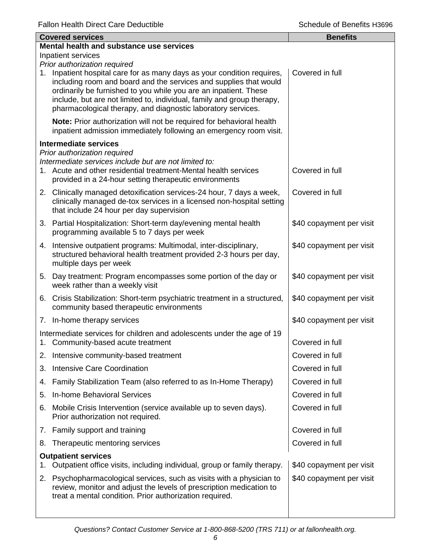|    | <b>Covered services</b>                                                                                                                                                                                                                                                                                                                                    | <b>Benefits</b>          |
|----|------------------------------------------------------------------------------------------------------------------------------------------------------------------------------------------------------------------------------------------------------------------------------------------------------------------------------------------------------------|--------------------------|
|    | Mental health and substance use services                                                                                                                                                                                                                                                                                                                   |                          |
|    | Inpatient services<br>Prior authorization required                                                                                                                                                                                                                                                                                                         |                          |
|    | 1. Inpatient hospital care for as many days as your condition requires,<br>including room and board and the services and supplies that would<br>ordinarily be furnished to you while you are an inpatient. These<br>include, but are not limited to, individual, family and group therapy,<br>pharmacological therapy, and diagnostic laboratory services. | Covered in full          |
|    | Note: Prior authorization will not be required for behavioral health<br>inpatient admission immediately following an emergency room visit.                                                                                                                                                                                                                 |                          |
|    | <b>Intermediate services</b>                                                                                                                                                                                                                                                                                                                               |                          |
|    | Prior authorization required<br>Intermediate services include but are not limited to:<br>1. Acute and other residential treatment-Mental health services<br>provided in a 24-hour setting therapeutic environments                                                                                                                                         | Covered in full          |
|    | 2. Clinically managed detoxification services-24 hour, 7 days a week,<br>clinically managed de-tox services in a licensed non-hospital setting<br>that include 24 hour per day supervision                                                                                                                                                                 | Covered in full          |
|    | 3. Partial Hospitalization: Short-term day/evening mental health<br>programming available 5 to 7 days per week                                                                                                                                                                                                                                             | \$40 copayment per visit |
|    | 4. Intensive outpatient programs: Multimodal, inter-disciplinary,<br>structured behavioral health treatment provided 2-3 hours per day,<br>multiple days per week                                                                                                                                                                                          | \$40 copayment per visit |
|    | 5. Day treatment: Program encompasses some portion of the day or<br>week rather than a weekly visit                                                                                                                                                                                                                                                        | \$40 copayment per visit |
|    | 6. Crisis Stabilization: Short-term psychiatric treatment in a structured,<br>community based therapeutic environments                                                                                                                                                                                                                                     | \$40 copayment per visit |
|    | 7. In-home therapy services                                                                                                                                                                                                                                                                                                                                | \$40 copayment per visit |
|    | Intermediate services for children and adolescents under the age of 19<br>1. Community-based acute treatment                                                                                                                                                                                                                                               | Covered in full          |
|    | 2. Intensive community-based treatment                                                                                                                                                                                                                                                                                                                     | Covered in full          |
| 3. | <b>Intensive Care Coordination</b>                                                                                                                                                                                                                                                                                                                         | Covered in full          |
| 4. | Family Stabilization Team (also referred to as In-Home Therapy)                                                                                                                                                                                                                                                                                            | Covered in full          |
| 5. | <b>In-home Behavioral Services</b>                                                                                                                                                                                                                                                                                                                         | Covered in full          |
| 6. | Mobile Crisis Intervention (service available up to seven days).<br>Prior authorization not required.                                                                                                                                                                                                                                                      | Covered in full          |
|    | 7. Family support and training                                                                                                                                                                                                                                                                                                                             | Covered in full          |
| 8. | Therapeutic mentoring services                                                                                                                                                                                                                                                                                                                             | Covered in full          |
| 1. | <b>Outpatient services</b><br>Outpatient office visits, including individual, group or family therapy.                                                                                                                                                                                                                                                     | \$40 copayment per visit |
| 2. | Psychopharmacological services, such as visits with a physician to<br>review, monitor and adjust the levels of prescription medication to<br>treat a mental condition. Prior authorization required.                                                                                                                                                       | \$40 copayment per visit |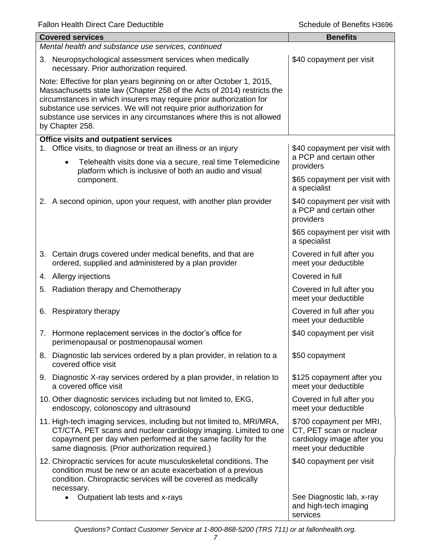|                                                                                                                                                                                                                                                                                                                                                                                            | <b>Covered services</b>                                                                                                                                                                                                                                        | <b>Benefits</b>                                                                                           |  |  |
|--------------------------------------------------------------------------------------------------------------------------------------------------------------------------------------------------------------------------------------------------------------------------------------------------------------------------------------------------------------------------------------------|----------------------------------------------------------------------------------------------------------------------------------------------------------------------------------------------------------------------------------------------------------------|-----------------------------------------------------------------------------------------------------------|--|--|
|                                                                                                                                                                                                                                                                                                                                                                                            | Mental health and substance use services, continued                                                                                                                                                                                                            |                                                                                                           |  |  |
|                                                                                                                                                                                                                                                                                                                                                                                            | 3. Neuropsychological assessment services when medically<br>necessary. Prior authorization required.                                                                                                                                                           | \$40 copayment per visit                                                                                  |  |  |
| Note: Effective for plan years beginning on or after October 1, 2015,<br>Massachusetts state law (Chapter 258 of the Acts of 2014) restricts the<br>circumstances in which insurers may require prior authorization for<br>substance use services. We will not require prior authorization for<br>substance use services in any circumstances where this is not allowed<br>by Chapter 258. |                                                                                                                                                                                                                                                                |                                                                                                           |  |  |
|                                                                                                                                                                                                                                                                                                                                                                                            | <b>Office visits and outpatient services</b>                                                                                                                                                                                                                   |                                                                                                           |  |  |
|                                                                                                                                                                                                                                                                                                                                                                                            | 1. Office visits, to diagnose or treat an illness or an injury<br>Telehealth visits done via a secure, real time Telemedicine<br>$\bullet$<br>platform which is inclusive of both an audio and visual<br>component.                                            | \$40 copayment per visit with<br>a PCP and certain other<br>providers                                     |  |  |
|                                                                                                                                                                                                                                                                                                                                                                                            |                                                                                                                                                                                                                                                                | \$65 copayment per visit with<br>a specialist                                                             |  |  |
|                                                                                                                                                                                                                                                                                                                                                                                            | 2. A second opinion, upon your request, with another plan provider                                                                                                                                                                                             | \$40 copayment per visit with<br>a PCP and certain other<br>providers                                     |  |  |
|                                                                                                                                                                                                                                                                                                                                                                                            |                                                                                                                                                                                                                                                                | \$65 copayment per visit with<br>a specialist                                                             |  |  |
|                                                                                                                                                                                                                                                                                                                                                                                            | 3. Certain drugs covered under medical benefits, and that are<br>ordered, supplied and administered by a plan provider                                                                                                                                         | Covered in full after you<br>meet your deductible                                                         |  |  |
|                                                                                                                                                                                                                                                                                                                                                                                            | 4. Allergy injections                                                                                                                                                                                                                                          | Covered in full                                                                                           |  |  |
|                                                                                                                                                                                                                                                                                                                                                                                            | 5. Radiation therapy and Chemotherapy                                                                                                                                                                                                                          | Covered in full after you<br>meet your deductible                                                         |  |  |
| 6.                                                                                                                                                                                                                                                                                                                                                                                         | Respiratory therapy                                                                                                                                                                                                                                            | Covered in full after you<br>meet your deductible                                                         |  |  |
|                                                                                                                                                                                                                                                                                                                                                                                            | 7. Hormone replacement services in the doctor's office for<br>perimenopausal or postmenopausal women                                                                                                                                                           | \$40 copayment per visit                                                                                  |  |  |
|                                                                                                                                                                                                                                                                                                                                                                                            | 8. Diagnostic lab services ordered by a plan provider, in relation to a<br>covered office visit                                                                                                                                                                | \$50 copayment                                                                                            |  |  |
|                                                                                                                                                                                                                                                                                                                                                                                            | 9. Diagnostic X-ray services ordered by a plan provider, in relation to<br>a covered office visit                                                                                                                                                              | \$125 copayment after you<br>meet your deductible                                                         |  |  |
|                                                                                                                                                                                                                                                                                                                                                                                            | 10. Other diagnostic services including but not limited to, EKG,<br>endoscopy, colonoscopy and ultrasound                                                                                                                                                      | Covered in full after you<br>meet your deductible                                                         |  |  |
|                                                                                                                                                                                                                                                                                                                                                                                            | 11. High-tech imaging services, including but not limited to, MRI/MRA,<br>CT/CTA, PET scans and nuclear cardiology imaging. Limited to one<br>copayment per day when performed at the same facility for the<br>same diagnosis. (Prior authorization required.) | \$700 copayment per MRI,<br>CT, PET scan or nuclear<br>cardiology image after you<br>meet your deductible |  |  |
|                                                                                                                                                                                                                                                                                                                                                                                            | 12. Chiropractic services for acute musculoskeletal conditions. The<br>condition must be new or an acute exacerbation of a previous<br>condition. Chiropractic services will be covered as medically<br>necessary.                                             | \$40 copayment per visit                                                                                  |  |  |
|                                                                                                                                                                                                                                                                                                                                                                                            | Outpatient lab tests and x-rays                                                                                                                                                                                                                                | See Diagnostic lab, x-ray<br>and high-tech imaging<br>services                                            |  |  |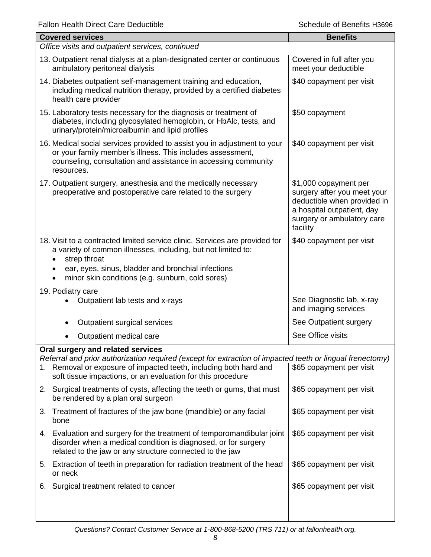| <b>Covered services</b>                                                                                                                                                                                                                                                | <b>Benefits</b>                                                                                                                                             |
|------------------------------------------------------------------------------------------------------------------------------------------------------------------------------------------------------------------------------------------------------------------------|-------------------------------------------------------------------------------------------------------------------------------------------------------------|
| Office visits and outpatient services, continued                                                                                                                                                                                                                       |                                                                                                                                                             |
| 13. Outpatient renal dialysis at a plan-designated center or continuous<br>ambulatory peritoneal dialysis                                                                                                                                                              | Covered in full after you<br>meet your deductible                                                                                                           |
| 14. Diabetes outpatient self-management training and education,<br>including medical nutrition therapy, provided by a certified diabetes<br>health care provider                                                                                                       | \$40 copayment per visit                                                                                                                                    |
| 15. Laboratory tests necessary for the diagnosis or treatment of<br>diabetes, including glycosylated hemoglobin, or HbAlc, tests, and<br>urinary/protein/microalbumin and lipid profiles                                                                               | \$50 copayment                                                                                                                                              |
| 16. Medical social services provided to assist you in adjustment to your<br>or your family member's illness. This includes assessment,<br>counseling, consultation and assistance in accessing community<br>resources.                                                 | \$40 copayment per visit                                                                                                                                    |
| 17. Outpatient surgery, anesthesia and the medically necessary<br>preoperative and postoperative care related to the surgery                                                                                                                                           | \$1,000 copayment per<br>surgery after you meet your<br>deductible when provided in<br>a hospital outpatient, day<br>surgery or ambulatory care<br>facility |
| 18. Visit to a contracted limited service clinic. Services are provided for<br>a variety of common illnesses, including, but not limited to:<br>strep throat<br>ear, eyes, sinus, bladder and bronchial infections<br>minor skin conditions (e.g. sunburn, cold sores) | \$40 copayment per visit                                                                                                                                    |
|                                                                                                                                                                                                                                                                        |                                                                                                                                                             |
| 19. Podiatry care<br>Outpatient lab tests and x-rays                                                                                                                                                                                                                   | See Diagnostic lab, x-ray<br>and imaging services                                                                                                           |
| Outpatient surgical services                                                                                                                                                                                                                                           | See Outpatient surgery                                                                                                                                      |
| Outpatient medical care                                                                                                                                                                                                                                                | See Office visits                                                                                                                                           |
| Oral surgery and related services                                                                                                                                                                                                                                      |                                                                                                                                                             |
| Referral and prior authorization required (except for extraction of impacted teeth or lingual frenectomy)<br>Removal or exposure of impacted teeth, including both hard and<br>1.<br>soft tissue impactions, or an evaluation for this procedure                       | \$65 copayment per visit                                                                                                                                    |
| 2. Surgical treatments of cysts, affecting the teeth or gums, that must<br>be rendered by a plan oral surgeon                                                                                                                                                          | \$65 copayment per visit                                                                                                                                    |
| 3. Treatment of fractures of the jaw bone (mandible) or any facial<br>bone                                                                                                                                                                                             | \$65 copayment per visit                                                                                                                                    |
| 4. Evaluation and surgery for the treatment of temporomandibular joint<br>disorder when a medical condition is diagnosed, or for surgery<br>related to the jaw or any structure connected to the jaw                                                                   | \$65 copayment per visit                                                                                                                                    |
| 5. Extraction of teeth in preparation for radiation treatment of the head<br>or neck                                                                                                                                                                                   | \$65 copayment per visit                                                                                                                                    |
| Surgical treatment related to cancer<br>6.                                                                                                                                                                                                                             | \$65 copayment per visit                                                                                                                                    |
|                                                                                                                                                                                                                                                                        |                                                                                                                                                             |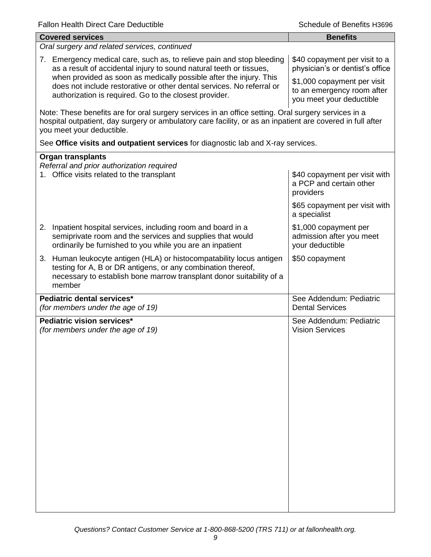| <b>Covered services</b>                                                                                                                                                                                                                        | <b>Benefits</b>                                                                       |  |  |
|------------------------------------------------------------------------------------------------------------------------------------------------------------------------------------------------------------------------------------------------|---------------------------------------------------------------------------------------|--|--|
| Oral surgery and related services, continued                                                                                                                                                                                                   |                                                                                       |  |  |
| 7. Emergency medical care, such as, to relieve pain and stop bleeding<br>as a result of accidental injury to sound natural teeth or tissues,<br>when provided as soon as medically possible after the injury. This                             | \$40 copayment per visit to a<br>physician's or dentist's office                      |  |  |
| does not include restorative or other dental services. No referral or<br>authorization is required. Go to the closest provider.                                                                                                                | \$1,000 copayment per visit<br>to an emergency room after<br>you meet your deductible |  |  |
| Note: These benefits are for oral surgery services in an office setting. Oral surgery services in a<br>hospital outpatient, day surgery or ambulatory care facility, or as an inpatient are covered in full after<br>you meet your deductible. |                                                                                       |  |  |
| See Office visits and outpatient services for diagnostic lab and X-ray services.                                                                                                                                                               |                                                                                       |  |  |
| <b>Organ transplants</b>                                                                                                                                                                                                                       |                                                                                       |  |  |
| Referral and prior authorization required<br>1. Office visits related to the transplant                                                                                                                                                        | \$40 copayment per visit with<br>a PCP and certain other<br>providers                 |  |  |
|                                                                                                                                                                                                                                                | \$65 copayment per visit with<br>a specialist                                         |  |  |
| 2. Inpatient hospital services, including room and board in a<br>semiprivate room and the services and supplies that would<br>ordinarily be furnished to you while you are an inpatient                                                        | \$1,000 copayment per<br>admission after you meet<br>your deductible                  |  |  |
| 3. Human leukocyte antigen (HLA) or histocompatability locus antigen<br>testing for A, B or DR antigens, or any combination thereof,<br>necessary to establish bone marrow transplant donor suitability of a<br>member                         | \$50 copayment                                                                        |  |  |
| Pediatric dental services*<br>(for members under the age of 19)                                                                                                                                                                                | See Addendum: Pediatric<br><b>Dental Services</b>                                     |  |  |
| Pediatric vision services*<br>(for members under the age of 19)                                                                                                                                                                                | See Addendum: Pediatric<br><b>Vision Services</b>                                     |  |  |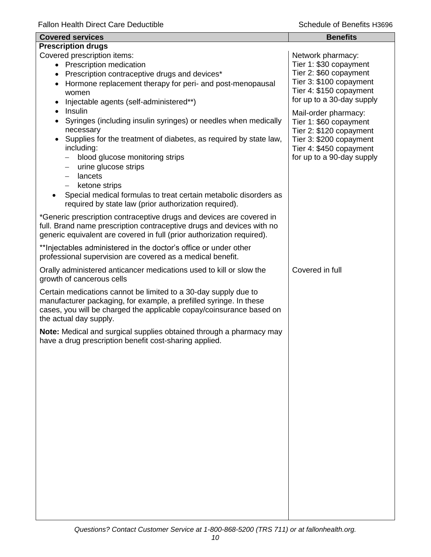| <b>Covered services</b>                                                                                                                                                                                                                                                                                                                                                                                                                              | <b>Benefits</b>                                                                                                                                              |  |  |
|------------------------------------------------------------------------------------------------------------------------------------------------------------------------------------------------------------------------------------------------------------------------------------------------------------------------------------------------------------------------------------------------------------------------------------------------------|--------------------------------------------------------------------------------------------------------------------------------------------------------------|--|--|
| <b>Prescription drugs</b>                                                                                                                                                                                                                                                                                                                                                                                                                            |                                                                                                                                                              |  |  |
| Covered prescription items:<br>• Prescription medication<br>Prescription contraceptive drugs and devices*<br>$\bullet$<br>Hormone replacement therapy for peri- and post-menopausal<br>$\bullet$<br>women<br>Injectable agents (self-administered**)                                                                                                                                                                                                 | Network pharmacy:<br>Tier 1: \$30 copayment<br>Tier 2: \$60 copayment<br>Tier 3: \$100 copayment<br>Tier 4: \$150 copayment<br>for up to a 30-day supply     |  |  |
| Insulin<br>Syringes (including insulin syringes) or needles when medically<br>$\bullet$<br>necessary<br>Supplies for the treatment of diabetes, as required by state law,<br>$\bullet$<br>including:<br>blood glucose monitoring strips<br>urine glucose strips<br>$\qquad \qquad -$<br>lancets<br>$-$<br>ketone strips<br>Special medical formulas to treat certain metabolic disorders as<br>required by state law (prior authorization required). | Mail-order pharmacy:<br>Tier 1: \$60 copayment<br>Tier 2: \$120 copayment<br>Tier 3: \$200 copayment<br>Tier 4: \$450 copayment<br>for up to a 90-day supply |  |  |
| *Generic prescription contraceptive drugs and devices are covered in<br>full. Brand name prescription contraceptive drugs and devices with no<br>generic equivalent are covered in full (prior authorization required).                                                                                                                                                                                                                              |                                                                                                                                                              |  |  |
| ** Injectables administered in the doctor's office or under other<br>professional supervision are covered as a medical benefit.                                                                                                                                                                                                                                                                                                                      |                                                                                                                                                              |  |  |
| Orally administered anticancer medications used to kill or slow the<br>growth of cancerous cells                                                                                                                                                                                                                                                                                                                                                     | Covered in full                                                                                                                                              |  |  |
| Certain medications cannot be limited to a 30-day supply due to<br>manufacturer packaging, for example, a prefilled syringe. In these<br>cases, you will be charged the applicable copay/coinsurance based on<br>the actual day supply.                                                                                                                                                                                                              |                                                                                                                                                              |  |  |
| Note: Medical and surgical supplies obtained through a pharmacy may<br>have a drug prescription benefit cost-sharing applied.                                                                                                                                                                                                                                                                                                                        |                                                                                                                                                              |  |  |
|                                                                                                                                                                                                                                                                                                                                                                                                                                                      |                                                                                                                                                              |  |  |
|                                                                                                                                                                                                                                                                                                                                                                                                                                                      |                                                                                                                                                              |  |  |
|                                                                                                                                                                                                                                                                                                                                                                                                                                                      |                                                                                                                                                              |  |  |
|                                                                                                                                                                                                                                                                                                                                                                                                                                                      |                                                                                                                                                              |  |  |
|                                                                                                                                                                                                                                                                                                                                                                                                                                                      |                                                                                                                                                              |  |  |
|                                                                                                                                                                                                                                                                                                                                                                                                                                                      |                                                                                                                                                              |  |  |
|                                                                                                                                                                                                                                                                                                                                                                                                                                                      |                                                                                                                                                              |  |  |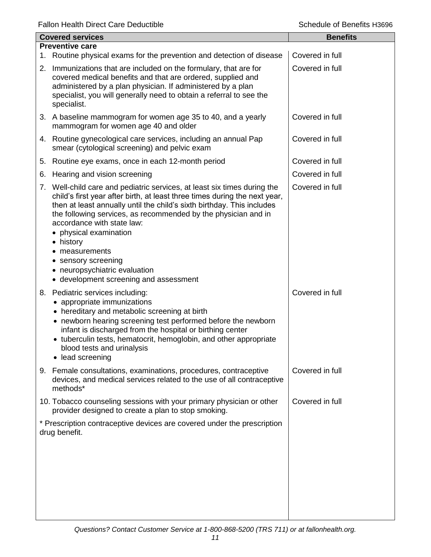Fallon Health Direct Care Deductible **Schedule of Benefits H3696** Schedule of Benefits H3696

|    | <b>Covered services</b>                                                                                                                                                                                                                                                                                                                                                                                                                                                                | <b>Benefits</b> |
|----|----------------------------------------------------------------------------------------------------------------------------------------------------------------------------------------------------------------------------------------------------------------------------------------------------------------------------------------------------------------------------------------------------------------------------------------------------------------------------------------|-----------------|
|    | <b>Preventive care</b><br>1. Routine physical exams for the prevention and detection of disease                                                                                                                                                                                                                                                                                                                                                                                        | Covered in full |
|    | 2. Immunizations that are included on the formulary, that are for<br>covered medical benefits and that are ordered, supplied and<br>administered by a plan physician. If administered by a plan<br>specialist, you will generally need to obtain a referral to see the<br>specialist.                                                                                                                                                                                                  | Covered in full |
|    | 3. A baseline mammogram for women age 35 to 40, and a yearly<br>mammogram for women age 40 and older                                                                                                                                                                                                                                                                                                                                                                                   | Covered in full |
|    | 4. Routine gynecological care services, including an annual Pap<br>smear (cytological screening) and pelvic exam                                                                                                                                                                                                                                                                                                                                                                       | Covered in full |
|    | 5. Routine eye exams, once in each 12-month period                                                                                                                                                                                                                                                                                                                                                                                                                                     | Covered in full |
| 6. | Hearing and vision screening                                                                                                                                                                                                                                                                                                                                                                                                                                                           | Covered in full |
| 7. | Well-child care and pediatric services, at least six times during the<br>child's first year after birth, at least three times during the next year,<br>then at least annually until the child's sixth birthday. This includes<br>the following services, as recommended by the physician and in<br>accordance with state law:<br>• physical examination<br>• history<br>measurements<br>• sensory screening<br>• neuropsychiatric evaluation<br>• development screening and assessment | Covered in full |
|    | 8. Pediatric services including:<br>• appropriate immunizations<br>• hereditary and metabolic screening at birth<br>• newborn hearing screening test performed before the newborn<br>infant is discharged from the hospital or birthing center<br>• tuberculin tests, hematocrit, hemoglobin, and other appropriate<br>blood tests and urinalysis<br>• lead screening                                                                                                                  | Covered in full |
|    | 9. Female consultations, examinations, procedures, contraceptive<br>devices, and medical services related to the use of all contraceptive<br>methods*                                                                                                                                                                                                                                                                                                                                  | Covered in full |
|    | 10. Tobacco counseling sessions with your primary physician or other<br>provider designed to create a plan to stop smoking.                                                                                                                                                                                                                                                                                                                                                            | Covered in full |
|    | * Prescription contraceptive devices are covered under the prescription<br>drug benefit.                                                                                                                                                                                                                                                                                                                                                                                               |                 |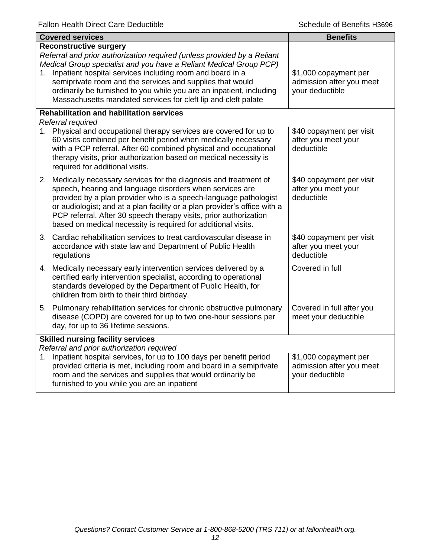| <b>Covered services</b>                                                                                                                                                                                                                                                                                                                                                                                                                                  | <b>Benefits</b>                                                      |
|----------------------------------------------------------------------------------------------------------------------------------------------------------------------------------------------------------------------------------------------------------------------------------------------------------------------------------------------------------------------------------------------------------------------------------------------------------|----------------------------------------------------------------------|
| <b>Reconstructive surgery</b><br>Referral and prior authorization required (unless provided by a Reliant<br>Medical Group specialist and you have a Reliant Medical Group PCP)<br>Inpatient hospital services including room and board in a<br>1.<br>semiprivate room and the services and supplies that would<br>ordinarily be furnished to you while you are an inpatient, including<br>Massachusetts mandated services for cleft lip and cleft palate | \$1,000 copayment per<br>admission after you meet<br>your deductible |
| <b>Rehabilitation and habilitation services</b><br>Referral required<br>1. Physical and occupational therapy services are covered for up to<br>60 visits combined per benefit period when medically necessary<br>with a PCP referral. After 60 combined physical and occupational<br>therapy visits, prior authorization based on medical necessity is<br>required for additional visits.                                                                | \$40 copayment per visit<br>after you meet your<br>deductible        |
| 2. Medically necessary services for the diagnosis and treatment of<br>speech, hearing and language disorders when services are<br>provided by a plan provider who is a speech-language pathologist<br>or audiologist; and at a plan facility or a plan provider's office with a<br>PCP referral. After 30 speech therapy visits, prior authorization<br>based on medical necessity is required for additional visits.                                    | \$40 copayment per visit<br>after you meet your<br>deductible        |
| 3. Cardiac rehabilitation services to treat cardiovascular disease in<br>accordance with state law and Department of Public Health<br>regulations                                                                                                                                                                                                                                                                                                        | \$40 copayment per visit<br>after you meet your<br>deductible        |
| 4. Medically necessary early intervention services delivered by a<br>certified early intervention specialist, according to operational<br>standards developed by the Department of Public Health, for<br>children from birth to their third birthday.                                                                                                                                                                                                    | Covered in full                                                      |
| 5. Pulmonary rehabilitation services for chronic obstructive pulmonary<br>disease (COPD) are covered for up to two one-hour sessions per<br>day, for up to 36 lifetime sessions.                                                                                                                                                                                                                                                                         | Covered in full after you<br>meet your deductible                    |
| <b>Skilled nursing facility services</b><br>Referral and prior authorization required<br>Inpatient hospital services, for up to 100 days per benefit period<br>1.<br>provided criteria is met, including room and board in a semiprivate<br>room and the services and supplies that would ordinarily be<br>furnished to you while you are an inpatient                                                                                                   | \$1,000 copayment per<br>admission after you meet<br>your deductible |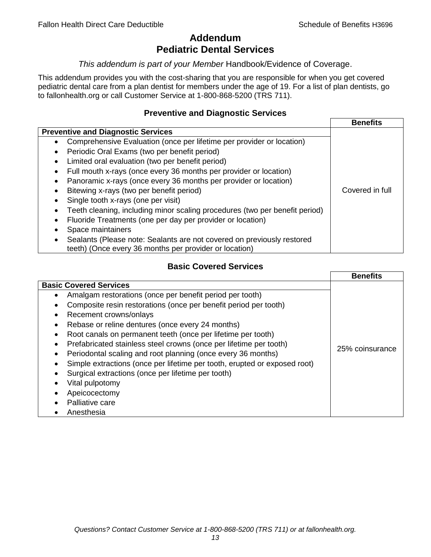# **Addendum Pediatric Dental Services**

#### *This addendum is part of your Member* Handbook/Evidence of Coverage.

This addendum provides you with the cost-sharing that you are responsible for when you get covered pediatric dental care from a plan dentist for members under the age of 19. For a list of plan dentists, go to fallonhealth.org or call Customer Service at 1-800-868-5200 (TRS 711).

#### **Preventive and Diagnostic Services**

|                                                                                    | <b>Benefits</b> |
|------------------------------------------------------------------------------------|-----------------|
| <b>Preventive and Diagnostic Services</b>                                          |                 |
| Comprehensive Evaluation (once per lifetime per provider or location)<br>$\bullet$ |                 |
| Periodic Oral Exams (two per benefit period)                                       |                 |
| Limited oral evaluation (two per benefit period)<br>$\bullet$                      |                 |
| Full mouth x-rays (once every 36 months per provider or location)                  |                 |
| Panoramic x-rays (once every 36 months per provider or location)                   |                 |
| Bitewing x-rays (two per benefit period)<br>٠                                      | Covered in full |
| Single tooth x-rays (one per visit)                                                |                 |
| Teeth cleaning, including minor scaling procedures (two per benefit period)        |                 |
| Fluoride Treatments (one per day per provider or location)                         |                 |
| Space maintainers                                                                  |                 |
| Sealants (Please note: Sealants are not covered on previously restored             |                 |
| teeth) (Once every 36 months per provider or location)                             |                 |

## **Basic Covered Services**

|                                                                                                                                                                                                                                                                                                                                            | <b>Benefits</b> |
|--------------------------------------------------------------------------------------------------------------------------------------------------------------------------------------------------------------------------------------------------------------------------------------------------------------------------------------------|-----------------|
| <b>Basic Covered Services</b><br>Amalgam restorations (once per benefit period per tooth)<br>Composite resin restorations (once per benefit period per tooth)<br>Recement crowns/onlays<br>Rebase or reline dentures (once every 24 months)<br>Root canals on permanent teeth (once per lifetime per tooth)                                |                 |
| Prefabricated stainless steel crowns (once per lifetime per tooth)<br>Periodontal scaling and root planning (once every 36 months)<br>Simple extractions (once per lifetime per tooth, erupted or exposed root)<br>Surgical extractions (once per lifetime per tooth)<br>Vital pulpotomy<br>Apeicocectomy<br>Palliative care<br>Anesthesia | 25% coinsurance |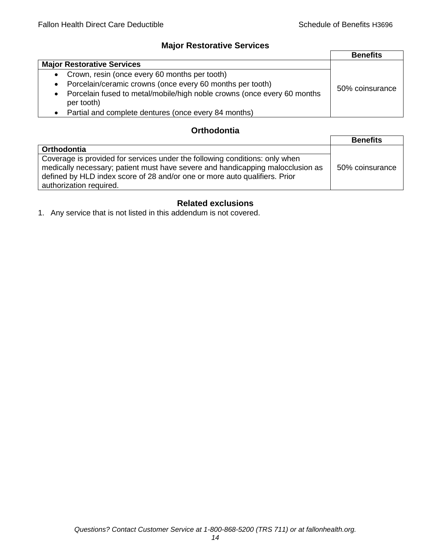## **Major Restorative Services**

|                                                                                            | <b>Benefits</b> |
|--------------------------------------------------------------------------------------------|-----------------|
| <b>Major Restorative Services</b>                                                          |                 |
| • Crown, resin (once every 60 months per tooth)                                            |                 |
| • Porcelain/ceramic crowns (once every 60 months per tooth)                                | 50% coinsurance |
| Porcelain fused to metal/mobile/high noble crowns (once every 60 months<br>٠<br>per tooth) |                 |
| • Partial and complete dentures (once every 84 months)                                     |                 |

## **Orthodontia**

|                                                                                                                                                                                                                                                                        | <b>Benefits</b> |
|------------------------------------------------------------------------------------------------------------------------------------------------------------------------------------------------------------------------------------------------------------------------|-----------------|
| Orthodontia                                                                                                                                                                                                                                                            |                 |
| Coverage is provided for services under the following conditions: only when<br>medically necessary; patient must have severe and handicapping malocclusion as<br>defined by HLD index score of 28 and/or one or more auto qualifiers. Prior<br>authorization required. | 50% coinsurance |

## **Related exclusions**

1. Any service that is not listed in this addendum is not covered.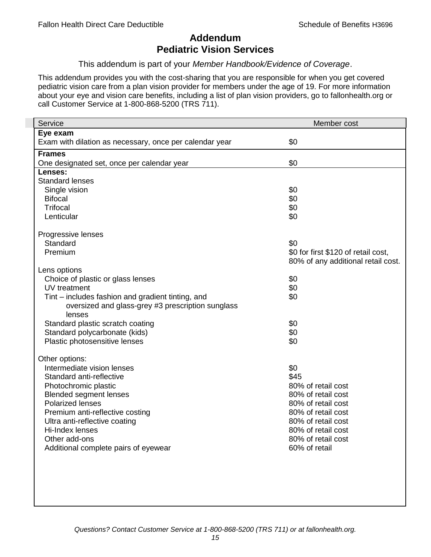# **Addendum Pediatric Vision Services**

This addendum is part of your *Member Handbook/Evidence of Coverage*.

This addendum provides you with the cost-sharing that you are responsible for when you get covered pediatric vision care from a plan vision provider for members under the age of 19. For more information about your eye and vision care benefits, including a list of plan vision providers, go to fallonhealth.org or call Customer Service at 1-800-868-5200 (TRS 711).

| Service                                                 | Member cost                         |
|---------------------------------------------------------|-------------------------------------|
| Eye exam                                                |                                     |
| Exam with dilation as necessary, once per calendar year | \$0                                 |
| <b>Frames</b>                                           |                                     |
| One designated set, once per calendar year              | \$0                                 |
| Lenses:                                                 |                                     |
| <b>Standard lenses</b>                                  |                                     |
| Single vision                                           | \$0                                 |
| <b>Bifocal</b>                                          | \$0                                 |
| <b>Trifocal</b>                                         | \$0                                 |
| Lenticular                                              | \$0                                 |
| Progressive lenses                                      |                                     |
| Standard                                                | \$0                                 |
| Premium                                                 | \$0 for first \$120 of retail cost, |
|                                                         | 80% of any additional retail cost.  |
| Lens options                                            |                                     |
| Choice of plastic or glass lenses                       | \$0                                 |
| UV treatment                                            | \$0                                 |
| Tint – includes fashion and gradient tinting, and       | \$0                                 |
| oversized and glass-grey #3 prescription sunglass       |                                     |
| lenses                                                  |                                     |
| Standard plastic scratch coating                        | \$0                                 |
| Standard polycarbonate (kids)                           | \$0                                 |
| Plastic photosensitive lenses                           | \$0                                 |
| Other options:                                          |                                     |
| Intermediate vision lenses                              | \$0                                 |
| Standard anti-reflective                                | \$45                                |
| Photochromic plastic                                    | 80% of retail cost                  |
| <b>Blended segment lenses</b>                           | 80% of retail cost                  |
| <b>Polarized lenses</b>                                 | 80% of retail cost                  |
| Premium anti-reflective costing                         | 80% of retail cost                  |
| Ultra anti-reflective coating                           | 80% of retail cost                  |
| Hi-Index lenses                                         | 80% of retail cost                  |
| Other add-ons                                           | 80% of retail cost                  |
| Additional complete pairs of eyewear                    | 60% of retail                       |
|                                                         |                                     |
|                                                         |                                     |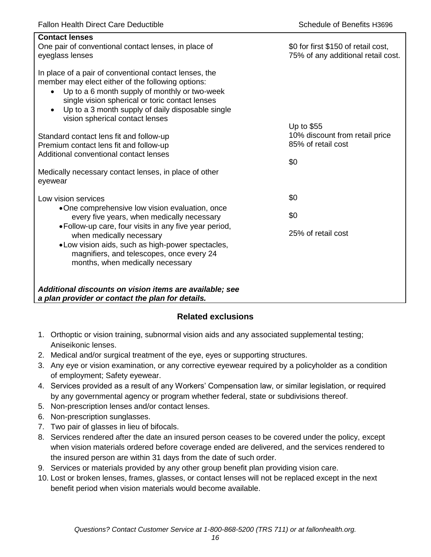| <b>Contact lenses</b><br>One pair of conventional contact lenses, in place of<br>eyeglass lenses                                                                                                                                                                                                                                  | \$0 for first \$150 of retail cost,<br>75% of any additional retail cost. |
|-----------------------------------------------------------------------------------------------------------------------------------------------------------------------------------------------------------------------------------------------------------------------------------------------------------------------------------|---------------------------------------------------------------------------|
| In place of a pair of conventional contact lenses, the<br>member may elect either of the following options:<br>Up to a 6 month supply of monthly or two-week<br>$\bullet$<br>single vision spherical or toric contact lenses<br>Up to a 3 month supply of daily disposable single<br>$\bullet$<br>vision spherical contact lenses |                                                                           |
| Standard contact lens fit and follow-up<br>Premium contact lens fit and follow-up<br>Additional conventional contact lenses                                                                                                                                                                                                       | Up to \$55<br>10% discount from retail price<br>85% of retail cost<br>\$0 |
| Medically necessary contact lenses, in place of other<br>eyewear                                                                                                                                                                                                                                                                  |                                                                           |
| Low vision services                                                                                                                                                                                                                                                                                                               | \$0                                                                       |
| •One comprehensive low vision evaluation, once<br>every five years, when medically necessary                                                                                                                                                                                                                                      | \$0                                                                       |
| • Follow-up care, four visits in any five year period,<br>when medically necessary<br>• Low vision aids, such as high-power spectacles,<br>magnifiers, and telescopes, once every 24<br>months, when medically necessary                                                                                                          | 25% of retail cost                                                        |
| Additional discounts on vision items are available; see<br>a plan provider or contact the plan for details.                                                                                                                                                                                                                       |                                                                           |

## **Related exclusions**

- 1. Orthoptic or vision training, subnormal vision aids and any associated supplemental testing; Aniseikonic lenses.
- 2. Medical and/or surgical treatment of the eye, eyes or supporting structures.
- 3. Any eye or vision examination, or any corrective eyewear required by a policyholder as a condition of employment; Safety eyewear.
- 4. Services provided as a result of any Workers' Compensation law, or similar legislation, or required by any governmental agency or program whether federal, state or subdivisions thereof.
- 5. Non-prescription lenses and/or contact lenses.
- 6. Non-prescription sunglasses.
- 7. Two pair of glasses in lieu of bifocals.
- 8. Services rendered after the date an insured person ceases to be covered under the policy, except when vision materials ordered before coverage ended are delivered, and the services rendered to the insured person are within 31 days from the date of such order.
- 9. Services or materials provided by any other group benefit plan providing vision care.
- 10. Lost or broken lenses, frames, glasses, or contact lenses will not be replaced except in the next benefit period when vision materials would become available.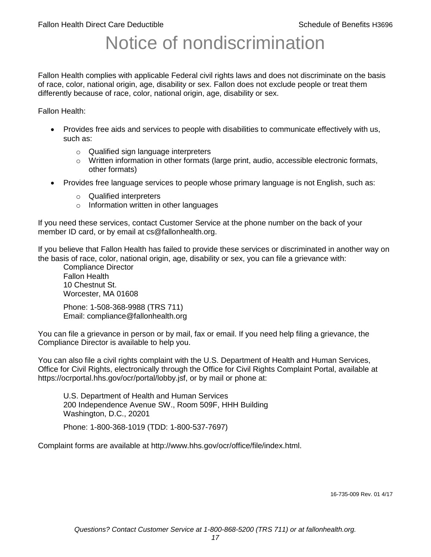# Notice of nondiscrimination

Fallon Health complies with applicable Federal civil rights laws and does not discriminate on the basis of race, color, national origin, age, disability or sex. Fallon does not exclude people or treat them differently because of race, color, national origin, age, disability or sex.

Fallon Health:

- Provides free aids and services to people with disabilities to communicate effectively with us, such as:
	- o Qualified sign language interpreters
	- $\circ$  Written information in other formats (large print, audio, accessible electronic formats, other formats)
- Provides free language services to people whose primary language is not English, such as:
	- o Qualified interpreters
	- o Information written in other languages

If you need these services, contact Customer Service at the phone number on the back of your member ID card, or by email at cs@fallonhealth.org.

If you believe that Fallon Health has failed to provide these services or discriminated in another way on the basis of race, color, national origin, age, disability or sex, you can file a grievance with:

Compliance Director Fallon Health 10 Chestnut St. Worcester, MA 01608

Phone: 1-508-368-9988 (TRS 711) Email: compliance@fallonhealth.org

You can file a grievance in person or by mail, fax or email. If you need help filing a grievance, the Compliance Director is available to help you.

You can also file a civil rights complaint with the U.S. Department of Health and Human Services, Office for Civil Rights, electronically through the Office for Civil Rights Complaint Portal, available at https://ocrportal.hhs.gov/ocr/portal/lobby.jsf, or by mail or phone at:

U.S. Department of Health and Human Services 200 Independence Avenue SW., Room 509F, HHH Building Washington, D.C., 20201

Phone: 1-800-368-1019 (TDD: 1-800-537-7697)

Complaint forms are available at http://www.hhs.gov/ocr/office/file/index.html.

16-735-009 Rev. 01 4/17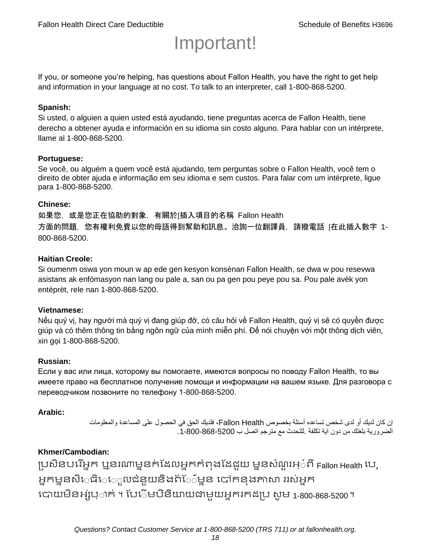# Important!

If you, or someone you're helping, has questions about Fallon Health, you have the right to get help and information in your language at no cost. To talk to an interpreter, call 1-800-868-5200.

#### **Spanish:**

Si usted, o alguien a quien usted está ayudando, tiene preguntas acerca de Fallon Health, tiene derecho a obtener ayuda e información en su idioma sin costo alguno. Para hablar con un intérprete, llame al 1-800-868-5200.

#### **Portuguese:**

Se você, ou alguém a quem você está ajudando, tem perguntas sobre o Fallon Health, você tem o direito de obter ajuda e informação em seu idioma e sem custos. Para falar com um intérprete, ligue para 1-800-868-5200.

#### **Chinese:**

如果您,或是您正在協助的對象,有關於[插入項目的名稱 Fallon Health 方面的問題, 您有權利免費以您的母語得到幫助和訊息。洽詢一位翻譯員, 請撥電話 [在此插入數字 1-800-868-5200.

#### **Haitian Creole:**

Si oumenm oswa yon moun w ap ede gen kesyon konsènan Fallon Health, se dwa w pou resevwa asistans ak enfòmasyon nan lang ou pale a, san ou pa gen pou peye pou sa. Pou pale avèk yon entèprèt, rele nan 1-800-868-5200.

#### **Vietnamese:**

Nếu quý vị, hay người mà quý vị đang giúp đỡ, có câu hỏi về Fallon Health, quý vị sẽ có quyền được giúp và có thêm thông tin bằng ngôn ngữ của mình miễn phí. Để nói chuyện với một thông dịch viên, xin gọi 1-800-868-5200.

#### **Russian:**

Если у вас или лица, которому вы помогаете, имеются вопросы по поводу Fallon Health, то вы имеете право на бесплатное получение помощи и информации на вашем языке. Для разговора с переводчиком позвоните по телефону 1-800-868-5200.

#### **Arabic:**

إن كان لديك أو لدى شخص تساعده أسئلة بخصوص Health Fallon، فلديك الحق في الحصول على المساعدة والمعلومات الضرورية بلغتك من دون اية تكلفة .للتحدث مع مترجم اتصل ب .1-800-868-5200

#### **Khmer/Cambodian:**

ប្រសិនបរើអ្នក ឬនរណាម្ននក់ដែលអ្នកកំពុងដែជយ ម្ននសំណួរអ្៎ពី Fallon Health រប, អ្នកម្ននសិេធិេ្រុលជំនួយនិងព័ែ៌ម្នន បៅកនុងភាសា ររស់អ្នក រោយម្ិនអ្ស់រ្ំ ក់ ។ ដររំម្ រនី ិយាយជាម្ួយអ្នក កែប្រ សូ ម្ 1-800-868-5200 ។